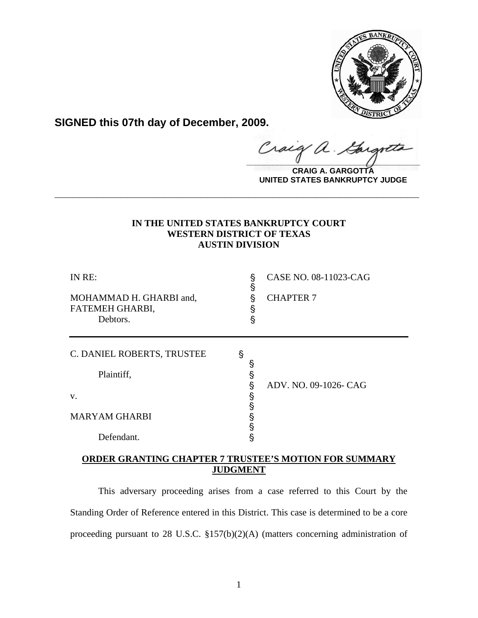

**SIGNED this 07th day of December, 2009.**

 $\alpha$ .  $\frac{1}{2}$ 

**CRAIG A. GARGOTTA UNITED STATES BANKRUPTCY JUDGE**

## **IN THE UNITED STATES BANKRUPTCY COURT WESTERN DISTRICT OF TEXAS AUSTIN DIVISION**

**\_\_\_\_\_\_\_\_\_\_\_\_\_\_\_\_\_\_\_\_\_\_\_\_\_\_\_\_\_\_\_\_\_\_\_\_\_\_\_\_\_\_\_\_\_\_\_\_\_\_\_\_\_\_\_\_\_\_\_\_**

| IN RE:<br>MOHAMMAD H. GHARBI and,<br>FATEMEH GHARBI,<br>Debtors. | S<br>S<br>§<br>Ş<br>§ | CASE NO. 08-11023-CAG<br><b>CHAPTER 7</b> |
|------------------------------------------------------------------|-----------------------|-------------------------------------------|
| C. DANIEL ROBERTS, TRUSTEE<br>Plaintiff,                         | S<br>Ş<br>Ŝ<br>Ş      | ADV. NO. 09-1026- CAG                     |
| V.<br><b>MARYAM GHARBI</b><br>Defendant.                         | §<br>§<br>S<br>S<br>S |                                           |

## **ORDER GRANTING CHAPTER 7 TRUSTEE'S MOTION FOR SUMMARY JUDGMENT**

This adversary proceeding arises from a case referred to this Court by the Standing Order of Reference entered in this District. This case is determined to be a core proceeding pursuant to 28 U.S.C. §157(b)(2)(A) (matters concerning administration of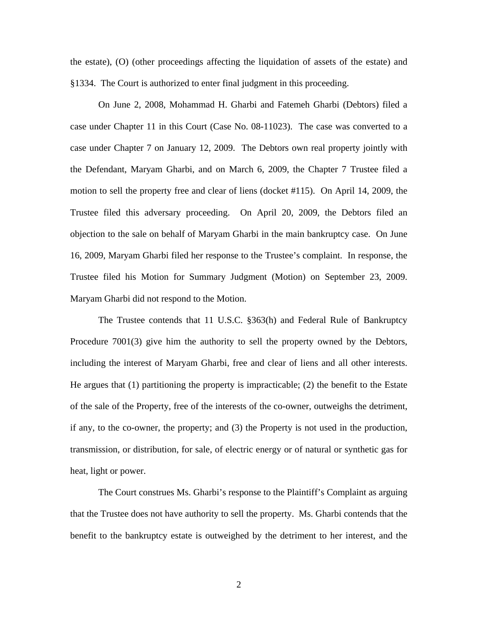the estate), (O) (other proceedings affecting the liquidation of assets of the estate) and §1334. The Court is authorized to enter final judgment in this proceeding.

 On June 2, 2008, Mohammad H. Gharbi and Fatemeh Gharbi (Debtors) filed a case under Chapter 11 in this Court (Case No. 08-11023). The case was converted to a case under Chapter 7 on January 12, 2009. The Debtors own real property jointly with the Defendant, Maryam Gharbi, and on March 6, 2009, the Chapter 7 Trustee filed a motion to sell the property free and clear of liens (docket #115). On April 14, 2009, the Trustee filed this adversary proceeding. On April 20, 2009, the Debtors filed an objection to the sale on behalf of Maryam Gharbi in the main bankruptcy case. On June 16, 2009, Maryam Gharbi filed her response to the Trustee's complaint. In response, the Trustee filed his Motion for Summary Judgment (Motion) on September 23, 2009. Maryam Gharbi did not respond to the Motion.

 The Trustee contends that 11 U.S.C. §363(h) and Federal Rule of Bankruptcy Procedure 7001(3) give him the authority to sell the property owned by the Debtors, including the interest of Maryam Gharbi, free and clear of liens and all other interests. He argues that (1) partitioning the property is impracticable; (2) the benefit to the Estate of the sale of the Property, free of the interests of the co-owner, outweighs the detriment, if any, to the co-owner, the property; and (3) the Property is not used in the production, transmission, or distribution, for sale, of electric energy or of natural or synthetic gas for heat, light or power.

The Court construes Ms. Gharbi's response to the Plaintiff's Complaint as arguing that the Trustee does not have authority to sell the property. Ms. Gharbi contends that the benefit to the bankruptcy estate is outweighed by the detriment to her interest, and the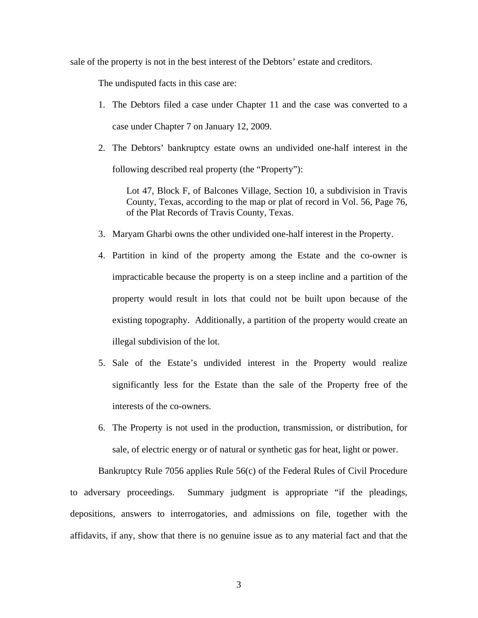sale of the property is not in the best interest of the Debtors' estate and creditors.

The undisputed facts in this case are:

- 1. The Debtors filed a case under Chapter 11 and the case was converted to a case under Chapter 7 on January 12, 2009.
- 2. The Debtors' bankruptcy estate owns an undivided one-half interest in the following described real property (the "Property"):

Lot 47, Block F, of Balcones Village, Section 10, a subdivision in Travis County, Texas, according to the map or plat of record in Vol. 56, Page 76, of the Plat Records of Travis County, Texas.

- 3. Maryam Gharbi owns the other undivided one-half interest in the Property.
- 4. Partition in kind of the property among the Estate and the co-owner is impracticable because the property is on a steep incline and a partition of the property would result in lots that could not be built upon because of the existing topography. Additionally, a partition of the property would create an illegal subdivision of the lot.
- 5. Sale of the Estate's undivided interest in the Property would realize significantly less for the Estate than the sale of the Property free of the interests of the co-owners.
- 6. The Property is not used in the production, transmission, or distribution, for sale, of electric energy or of natural or synthetic gas for heat, light or power.

Bankruptcy Rule 7056 applies Rule 56(c) of the Federal Rules of Civil Procedure to adversary proceedings. Summary judgment is appropriate "if the pleadings, depositions, answers to interrogatories, and admissions on file, together with the affidavits, if any, show that there is no genuine issue as to any material fact and that the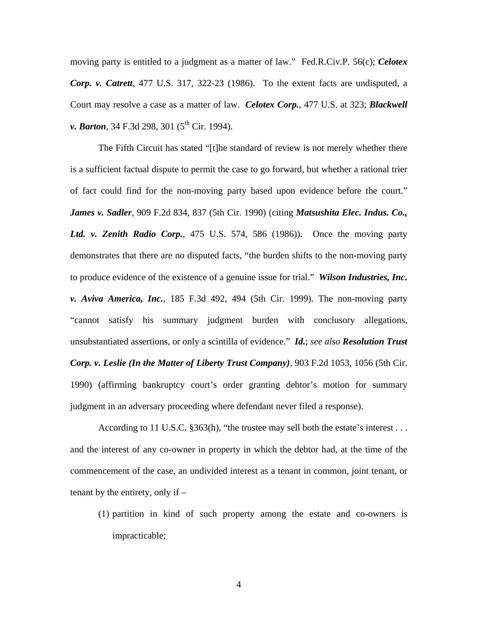moving party is entitled to a judgment as a matter of law." Fed.R.Civ.P. 56(c); *Celotex Corp. v. Catrett*, 477 U.S. 317, 322-23 (1986). To the extent facts are undisputed, a Court may resolve a case as a matter of law. *Celotex Corp.*, 477 U.S. at 323; *Blackwell v. Barton*, 34 F.3d 298, 301 (5<sup>th</sup> Cir. 1994).

The Fifth Circuit has stated "[t]he standard of review is not merely whether there is a sufficient factual dispute to permit the case to go forward, but whether a rational trier of fact could find for the non-moving party based upon evidence before the court." *James v. Sadler*, 909 F.2d 834, 837 (5th Cir. 1990) (citing *Matsushita Elec. Indus. Co., Ltd. v. Zenith Radio Corp.*, 475 U.S. 574, 586 (1986)). Once the moving party demonstrates that there are no disputed facts, "the burden shifts to the non-moving party to produce evidence of the existence of a genuine issue for trial." *Wilson Industries, Inc. v. Aviva America, Inc.*, 185 F.3d 492, 494 (5th Cir. 1999). The non-moving party "cannot satisfy his summary judgment burden with conclusory allegations, unsubstantiated assertions, or only a scintilla of evidence." *Id.*; *see also Resolution Trust Corp. v. Leslie (In the Matter of Liberty Trust Company)*, 903 F.2d 1053, 1056 (5th Cir. 1990) (affirming bankruptcy court's order granting debtor's motion for summary judgment in an adversary proceeding where defendant never filed a response).

According to 11 U.S.C. §363(h), "the trustee may sell both the estate's interest . . . and the interest of any co-owner in property in which the debtor had, at the time of the commencement of the case, an undivided interest as a tenant in common, joint tenant, or tenant by the entirety, only if –

(1) partition in kind of such property among the estate and co-owners is impracticable;

4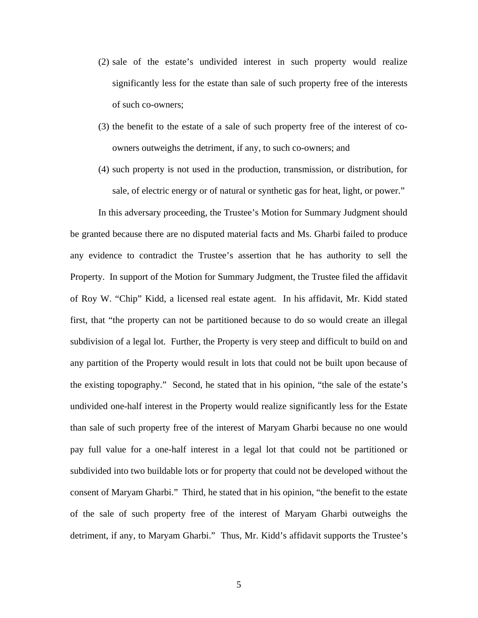- (2) sale of the estate's undivided interest in such property would realize significantly less for the estate than sale of such property free of the interests of such co-owners;
- (3) the benefit to the estate of a sale of such property free of the interest of coowners outweighs the detriment, if any, to such co-owners; and
- (4) such property is not used in the production, transmission, or distribution, for sale, of electric energy or of natural or synthetic gas for heat, light, or power."

In this adversary proceeding, the Trustee's Motion for Summary Judgment should be granted because there are no disputed material facts and Ms. Gharbi failed to produce any evidence to contradict the Trustee's assertion that he has authority to sell the Property. In support of the Motion for Summary Judgment, the Trustee filed the affidavit of Roy W. "Chip" Kidd, a licensed real estate agent. In his affidavit, Mr. Kidd stated first, that "the property can not be partitioned because to do so would create an illegal subdivision of a legal lot. Further, the Property is very steep and difficult to build on and any partition of the Property would result in lots that could not be built upon because of the existing topography." Second, he stated that in his opinion, "the sale of the estate's undivided one-half interest in the Property would realize significantly less for the Estate than sale of such property free of the interest of Maryam Gharbi because no one would pay full value for a one-half interest in a legal lot that could not be partitioned or subdivided into two buildable lots or for property that could not be developed without the consent of Maryam Gharbi." Third, he stated that in his opinion, "the benefit to the estate of the sale of such property free of the interest of Maryam Gharbi outweighs the detriment, if any, to Maryam Gharbi." Thus, Mr. Kidd's affidavit supports the Trustee's